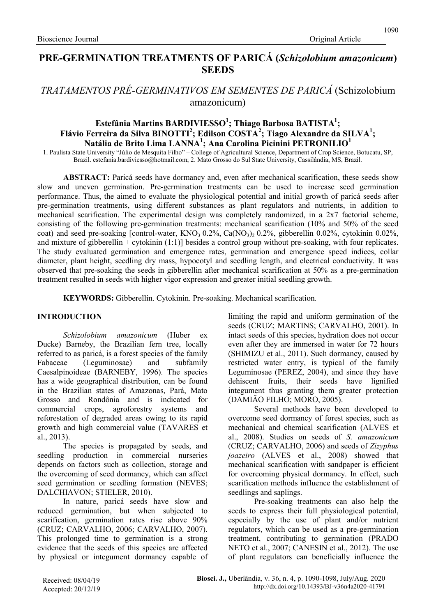# PRE-GERMINATION TREATMENTS OF PARICÁ (Schizolobium amazonicum) **SEEDS**

# TRATAMENTOS PRÉ-GERMINATIVOS EM SEMENTES DE PARICÁ (Schizolobium amazonicum)

# Estefânia Martins BARDIVIESSO<sup>1</sup>; Thiago Barbosa BATISTA<sup>1</sup>; Flávio Ferreira da Silva BINOTTI<sup>2</sup>; Edilson COSTA<sup>2</sup>; Tiago Alexandre da SILVA<sup>1</sup>; Natália de Brito Lima LANNA<sup>1</sup>; Ana Carolina Picinini PETRONILIO<sup>1</sup>

1. Paulista State University "Júlio de Mesquita Filho" – College of Agricultural Science, Department of Crop Science, Botucatu, SP, Brazil. estefania.bardiviesso@hotmail.com; 2. Mato Grosso do Sul State University, Cassilândia, MS, Brazil.

ABSTRACT: Paricá seeds have dormancy and, even after mechanical scarification, these seeds show slow and uneven germination. Pre-germination treatments can be used to increase seed germination performance. Thus, the aimed to evaluate the physiological potential and initial growth of paricá seeds after pre-germination treatments, using different substances as plant regulators and nutrients, in addition to mechanical scarification. The experimental design was completely randomized, in a 2x7 factorial scheme, consisting of the following pre-germination treatments: mechanical scarification (10% and 50% of the seed coat) and seed pre-soaking [control-water, KNO<sub>3</sub> 0.2%, Ca(NO<sub>3</sub>)<sub>2</sub> 0.2%, gibberellin 0.02%, cytokinin 0.02%, and mixture of gibberellin + cytokinin (1:1)] besides a control group without pre-soaking, with four replicates. The study evaluated germination and emergence rates, germination and emergence speed indices, collar diameter, plant height, seedling dry mass, hypocotyl and seedling length, and electrical conductivity. It was observed that pre-soaking the seeds in gibberellin after mechanical scarification at 50% as a pre-germination treatment resulted in seeds with higher vigor expression and greater initial seedling growth.

KEYWORDS: Gibberellin. Cytokinin. Pre-soaking. Mechanical scarification.

### INTRODUCTION

Schizolobium amazonicum (Huber ex Ducke) Barneby, the Brazilian fern tree, locally referred to as paricá, is a forest species of the family Fabaceae (Leguminosae) and subfamily Caesalpinoideae (BARNEBY, 1996). The species has a wide geographical distribution, can be found in the Brazilian states of Amazonas, Pará, Mato Grosso and Rondônia and is indicated for commercial crops, agroforestry systems and reforestation of degraded areas owing to its rapid growth and high commercial value (TAVARES et al., 2013).

The species is propagated by seeds, and seedling production in commercial nurseries depends on factors such as collection, storage and the overcoming of seed dormancy, which can affect seed germination or seedling formation (NEVES; DALCHIAVON; STIELER, 2010).

In nature, paricá seeds have slow and reduced germination, but when subjected to scarification, germination rates rise above 90% (CRUZ; CARVALHO, 2006; CARVALHO, 2007). This prolonged time to germination is a strong evidence that the seeds of this species are affected by physical or integument dormancy capable of limiting the rapid and uniform germination of the seeds (CRUZ; MARTINS; CARVALHO, 2001). In intact seeds of this species, hydration does not occur even after they are immersed in water for 72 hours (SHIMIZU et al., 2011). Such dormancy, caused by restricted water entry, is typical of the family Leguminosae (PEREZ, 2004), and since they have dehiscent fruits, their seeds have lignified integument thus granting them greater protection (DAMIÃO FILHO; MORO, 2005).

Several methods have been developed to overcome seed dormancy of forest species, such as mechanical and chemical scarification (ALVES et al., 2008). Studies on seeds of S. amazonicum (CRUZ; CARVALHO, 2006) and seeds of Zizyphus joazeiro (ALVES et al., 2008) showed that mechanical scarification with sandpaper is efficient for overcoming physical dormancy. In effect, such scarification methods influence the establishment of seedlings and saplings.

Pre-soaking treatments can also help the seeds to express their full physiological potential, especially by the use of plant and/or nutrient regulators, which can be used as a pre-germination treatment, contributing to germination (PRADO NETO et al., 2007; CANESIN et al., 2012). The use of plant regulators can beneficially influence the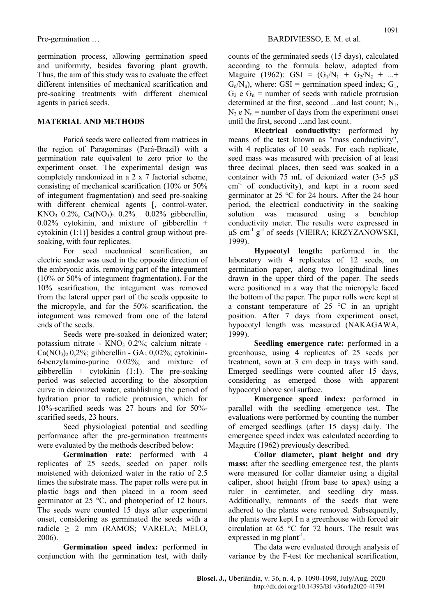germination process, allowing germination speed and uniformity, besides favoring plant growth. Thus, the aim of this study was to evaluate the effect different intensities of mechanical scarification and pre-soaking treatments with different chemical agents in paricá seeds.

# MATERIAL AND METHODS

Paricá seeds were collected from matrices in the region of Paragominas (Pará-Brazil) with a germination rate equivalent to zero prior to the experiment onset. The experimental design was completely randomized in a 2 x 7 factorial scheme, consisting of mechanical scarification (10% or 50% of integument fragmentation) and seed pre-soaking with different chemical agents [, control-water, KNO<sub>3</sub> 0.2%, Ca(NO<sub>3</sub>)<sub>2</sub> 0.2%, 0.02% gibberellin, 0.02% cytokinin, and mixture of gibberellin + cytokinin (1:1)] besides a control group without presoaking, with four replicates.

For seed mechanical scarification, an electric sander was used in the opposite direction of the embryonic axis, removing part of the integument (10% or 50% of integument fragmentation). For the 10% scarification, the integument was removed from the lateral upper part of the seeds opposite to the micropyle, and for the 50% scarification, the integument was removed from one of the lateral ends of the seeds.

Seeds were pre-soaked in deionized water; potassium nitrate -  $KNO<sub>3</sub> 0.2$ %; calcium nitrate - $Ca(NO<sub>3</sub>)<sub>2</sub> 0,2%$ ; gibberellin - GA<sub>3</sub> 0,02%; cytokinin-6-benzylamino-purine 0.02%; and mixture of gibberellin + cytokinin  $(1:1)$ . The pre-soaking period was selected according to the absorption curve in deionized water, establishing the period of hydration prior to radicle protrusion, which for 10%-scarified seeds was 27 hours and for 50% scarified seeds, 23 hours.

Seed physiological potential and seedling performance after the pre-germination treatments were evaluated by the methods described below:

Germination rate: performed with 4 replicates of 25 seeds, seeded on paper rolls moistened with deionized water in the ratio of 2.5 times the substrate mass. The paper rolls were put in plastic bags and then placed in a room seed germinator at 25 °C, and photoperiod of 12 hours. The seeds were counted 15 days after experiment onset, considering as germinated the seeds with a radicle  $\geq$  2 mm (RAMOS; VARELA; MELO, 2006).

Germination speed index: performed in conjunction with the germination test, with daily counts of the germinated seeds (15 days), calculated according to the formula below, adapted from Maguire (1962): GSI =  $(G_1/N_1 + G_2/N_2 + ... +$  $G_n/N_n$ , where: GSI = germination speed index;  $G_1$ ,  $G_2$  e  $G_n$  = number of seeds with radicle protrusion determined at the first, second ...and last count;  $N_1$ ,  $N_2$  e  $N_n$  = number of days from the experiment onset until the first, second ...and last count.

Electrical conductivity: performed by means of the test known as "mass conductivity", with 4 replicates of 10 seeds. For each replicate, seed mass was measured with precision of at least three decimal places, then seed was soaked in a container with 75 mL of deionized water (3-5 μS  $cm<sup>-1</sup>$  of conductivity), and kept in a room seed germinator at 25 °C for 24 hours. After the 24 hour period, the electrical conductivity in the soaking solution was measured using a benchtop conductivity meter. The results were expressed in  $\mu$ S cm<sup>-1</sup> g<sup>-1</sup> of seeds (VIEIRA; KRZYZANOWSKI, 1999).

Hypocotyl length: performed in the laboratory with 4 replicates of 12 seeds, on germination paper, along two longitudinal lines drawn in the upper third of the paper. The seeds were positioned in a way that the micropyle faced the bottom of the paper. The paper rolls were kept at a constant temperature of 25 °C in an upright position. After 7 days from experiment onset, hypocotyl length was measured (NAKAGAWA, 1999).

Seedling emergence rate: performed in a greenhouse, using 4 replicates of 25 seeds per treatment, sown at 3 cm deep in trays with sand. Emerged seedlings were counted after 15 days, considering as emerged those with apparent hypocotyl above soil surface.

Emergence speed index: performed in parallel with the seedling emergence test. The evaluations were performed by counting the number of emerged seedlings (after 15 days) daily. The emergence speed index was calculated according to Maguire (1962) previously described.

Collar diameter, plant height and dry mass: after the seedling emergence test, the plants were measured for collar diameter using a digital caliper, shoot height (from base to apex) using a ruler in centimeter, and seedling dry mass. Additionally, remnants of the seeds that were adhered to the plants were removed. Subsequently, the plants were kept I n a greenhouse with forced air circulation at 65 °C for 72 hours. The result was expressed in mg plant<sup>-1</sup>.

The data were evaluated through analysis of variance by the F-test for mechanical scarification,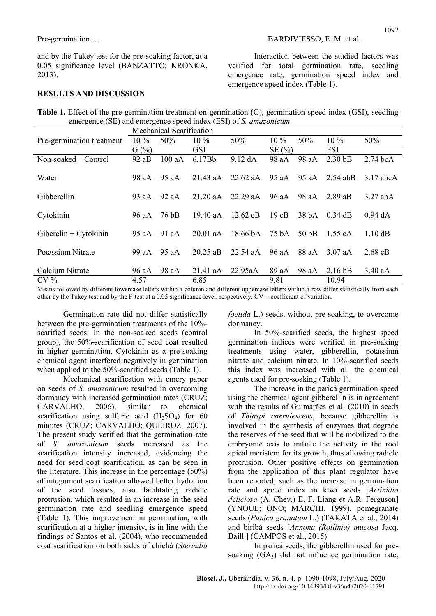and by the Tukey test for the pre-soaking factor, at a 0.05 significance level (BANZATTO; KRONKA, 2013).

## RESULTS AND DISCUSSION

Interaction between the studied factors was verified for total germination rate, seedling emergence rate, germination speed index and emergence speed index (Table 1).

Table 1. Effect of the pre-germination treatment on germination (G), germination speed index (GSI), seedling emergence (SE) and emergence speed index (ESI) of S. *amazonicum*.

|                           | Mechanical Scarification |       |            |                    |        |                  |                    |                   |
|---------------------------|--------------------------|-------|------------|--------------------|--------|------------------|--------------------|-------------------|
| Pre-germination treatment | $10\%$                   | 50%   | $10\%$     | 50%                | $10\%$ | 50%              | $10\%$             | 50%               |
|                           | G(%)                     |       | GSI.       |                    | SE(%)  |                  | <b>ESI</b>         |                   |
| Non-soaked – Control      | 92aB                     | 100aA | 6.17Bb     | 9.12 dA            | 98 aA  | 98 aA            | 2.30 <sub>bB</sub> | $2.74$ bcA        |
| Water                     | 98 aA                    | 95 aA | 21.43 aA   | $22.62$ aA         | 95 aA  | 95 aA            | $2.54$ abB         | $3.17$ abcA       |
| Gibberellin               | 93 aA                    | 92aA  | $21.20$ aA | 22.29 aA           | 96 aA  | 98 aA            | $2.89$ aB          | $3.27$ abA        |
| Cytokinin                 | 96 aA                    | 76 bB | 19.40 aA   | $12.62 \text{ cB}$ | 19cB   | 38 <sub>bA</sub> | $0.34$ dB          | $0.94$ dA         |
| Giberelin + Cytokinin     | 95 aA                    | 91aA  | $20.01$ aA | 18.66 bA           | 75 bA  | 50 <sub>bB</sub> | 1.55 cA            | $1.10 \text{ dB}$ |
| Potassium Nitrate         | 99 aA                    | 95 aA | $20.25$ aB | $22.54$ aA         | 96 aA  | 88 aA            | $3.07$ aA          | $2.68$ cB         |
| Calcium Nitrate           | 96 aA                    | 98 aA | $21.41$ aA | 22.95aA            | 89 aA  | 98 aA            | 2.16 <sub>bB</sub> | $3.40$ aA         |
| $CV\%$                    | 4.57                     |       | 6.85       |                    | 9,81   |                  | 10.94              |                   |

Means followed by different lowercase letters within a column and different uppercase letters within a row differ statistically from each other by the Tukey test and by the F-test at a 0.05 significance level, respectively. CV = coefficient of variation.

Germination rate did not differ statistically between the pre-germination treatments of the 10% scarified seeds. In the non-soaked seeds (control group), the 50%-scarification of seed coat resulted in higher germination. Cytokinin as a pre-soaking chemical agent interfered negatively in germination when applied to the 50%-scarified seeds (Table 1).

Mechanical scarification with emery paper on seeds of S. amazonicum resulted in overcoming dormancy with increased germination rates (CRUZ; CARVALHO, 2006), similar to chemical scarification using sulfuric acid  $(H_2SO_4)$  for 60 minutes (CRUZ; CARVALHO; QUEIROZ, 2007). The present study verified that the germination rate of S. amazonicum seeds increased as the scarification intensity increased, evidencing the need for seed coat scarification, as can be seen in the literature. This increase in the percentage (50%) of integument scarification allowed better hydration of the seed tissues, also facilitating radicle protrusion, which resulted in an increase in the seed germination rate and seedling emergence speed (Table 1). This improvement in germination, with scarification at a higher intensity, is in line with the findings of Santos et al. (2004), who recommended coat scarification on both sides of chichá (Sterculia

foetida L.) seeds, without pre-soaking, to overcome dormancy.

In 50%-scarified seeds, the highest speed germination indices were verified in pre-soaking treatments using water, gibberellin, potassium nitrate and calcium nitrate. In 10%-scarified seeds this index was increased with all the chemical agents used for pre-soaking (Table 1).

The increase in the paricá germination speed using the chemical agent gibberellin is in agreement with the results of Guimarães et al. (2010) in seeds of Thlaspi caerulescens, because gibberellin is involved in the synthesis of enzymes that degrade the reserves of the seed that will be mobilized to the embryonic axis to initiate the activity in the root apical meristem for its growth, thus allowing radicle protrusion. Other positive effects on germination from the application of this plant regulator have been reported, such as the increase in germination rate and speed index in kiwi seeds [Actinidia deliciosa (A. Chev.) E. F. Liang et A.R. Ferguson] (YNOUE; ONO; MARCHI, 1999), pomegranate seeds (Punica granatum L.) (TAKATA et al., 2014) and biribá seeds [Annona (Rollinia) mucosa Jacq. Baill.] (CAMPOS et al., 2015).

In paricá seeds, the gibberellin used for presoaking  $(GA_3)$  did not influence germination rate,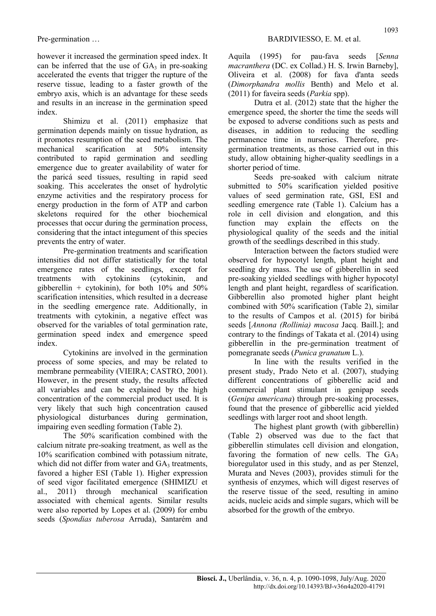Pre-germination ...

however it increased the germination speed index. It can be inferred that the use of  $GA_3$  in pre-soaking accelerated the events that trigger the rupture of the reserve tissue, leading to a faster growth of the embryo axis, which is an advantage for these seeds and results in an increase in the germination speed index.

Shimizu et al. (2011) emphasize that germination depends mainly on tissue hydration, as it promotes resumption of the seed metabolism. The mechanical scarification at 50% intensity contributed to rapid germination and seedling emergence due to greater availability of water for the paricá seed tissues, resulting in rapid seed soaking. This accelerates the onset of hydrolytic enzyme activities and the respiratory process for energy production in the form of ATP and carbon skeletons required for the other biochemical processes that occur during the germination process, considering that the intact integument of this species prevents the entry of water.

Pre-germination treatments and scarification intensities did not differ statistically for the total emergence rates of the seedlings, except for treatments with cytokinins (cytokinin, and gibberellin + cytokinin), for both  $10\%$  and  $50\%$ scarification intensities, which resulted in a decrease in the seedling emergence rate. Additionally, in treatments with cytokinin, a negative effect was observed for the variables of total germination rate, germination speed index and emergence speed index.

Cytokinins are involved in the germination process of some species, and may be related to membrane permeability (VIEIRA; CASTRO, 2001). However, in the present study, the results affected all variables and can be explained by the high concentration of the commercial product used. It is very likely that such high concentration caused physiological disturbances during germination, impairing even seedling formation (Table 2).

The 50% scarification combined with the calcium nitrate pre-soaking treatment, as well as the 10% scarification combined with potassium nitrate, which did not differ from water and  $GA_3$  treatments, favored a higher ESI (Table 1). Higher expression of seed vigor facilitated emergence (SHIMIZU et al., 2011) through mechanical scarification associated with chemical agents. Similar results were also reported by Lopes et al. (2009) for embu seeds (Spondias tuberosa Arruda), Santarém and Aquila (1995) for pau-fava seeds [Senna macranthera (DC. ex Collad.) H. S. Irwin Barneby], Oliveira et al. (2008) for fava d'anta seeds (Dimorphandra mollis Benth) and Melo et al. (2011) for faveira seeds (Parkia spp).

Dutra et al. (2012) state that the higher the emergence speed, the shorter the time the seeds will be exposed to adverse conditions such as pests and diseases, in addition to reducing the seedling permanence time in nurseries. Therefore, pregermination treatments, as those carried out in this study, allow obtaining higher-quality seedlings in a shorter period of time.

Seeds pre-soaked with calcium nitrate submitted to 50% scarification yielded positive values of seed germination rate, GSI, ESI and seedling emergence rate (Table 1). Calcium has a role in cell division and elongation, and this function may explain the effects on the physiological quality of the seeds and the initial growth of the seedlings described in this study.

Interaction between the factors studied were observed for hypocotyl length, plant height and seedling dry mass. The use of gibberellin in seed pre-soaking yielded seedlings with higher hypocotyl length and plant height, regardless of scarification. Gibberellin also promoted higher plant height combined with 50% scarification (Table 2), similar to the results of Campos et al. (2015) for biribá seeds [Annona (Rollinia) mucosa Jacq. Baill.]; and contrary to the findings of Takata et al. (2014) using gibberellin in the pre-germination treatment of pomegranate seeds (Punica granatum L.).

In line with the results verified in the present study, Prado Neto et al. (2007), studying different concentrations of gibberellic acid and commercial plant stimulant in genipap seeds (Genipa americana) through pre-soaking processes, found that the presence of gibberellic acid yielded seedlings with larger root and shoot length.

The highest plant growth (with gibberellin) (Table 2) observed was due to the fact that gibberellin stimulates cell division and elongation, favoring the formation of new cells. The  $GA_3$ bioregulator used in this study, and as per Stenzel, Murata and Neves (2003), provides stimuli for the synthesis of enzymes, which will digest reserves of the reserve tissue of the seed, resulting in amino acids, nucleic acids and simple sugars, which will be absorbed for the growth of the embryo.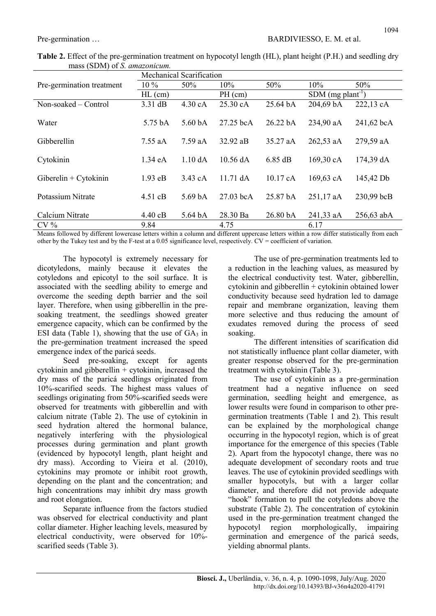|                           | Mechanical Scarification |                              |                    |                     |                                 |            |  |  |
|---------------------------|--------------------------|------------------------------|--------------------|---------------------|---------------------------------|------------|--|--|
| Pre-germination treatment | $10\%$                   | 50%                          | 10%                | 50%                 | 10%                             | 50%        |  |  |
|                           | $HL$ (cm)                |                              | $PH$ (cm)          |                     | SDM $(mg$ plant <sup>-1</sup> ) |            |  |  |
| $Non-soaked - Control$    | $3.31$ dB                | 4.30 cA                      | 25.30 cA           | 25.64 bA            | 204,69 bA                       | 222,13 cA  |  |  |
| Water                     | 5.75 bA                  | 5.60 <sub>bA</sub>           | $27.25$ bcA        | 26.22 bA            | 234,90 aA                       | 241,62 bcA |  |  |
| Gibberellin               | $7.55$ aA                | $7.59$ aA                    | $32.92$ aB         | 35.27 aA            | $262,53$ aA                     | 279,59 aA  |  |  |
| Cytokinin                 | 1.34 eA                  | $1.10\,\mathrm{d}\mathrm{A}$ | $10.56$ dA         | 6.85 dB             | 169,30 cA                       | 174,39 dA  |  |  |
| Giberelin + Cytokinin     | 1.93 eB                  | 3.43 cA                      | $11.71 \text{ dA}$ | $10.17$ cA          | 169,63 cA                       | 145,42 Db  |  |  |
| Potassium Nitrate         | $4.51$ cB                | 5.69 <sub>bA</sub>           | $27.03$ bcA        | 25.87 <sub>bA</sub> | $251,17$ aA                     | 230,99 bcB |  |  |
| Calcium Nitrate           | $4.40 \text{ cB}$        | $5.64\,\mathrm{bA}$          | 28.30 Ba           | 26.80 bA            | 241,33 aA                       | 256,63 abA |  |  |
| $CV\%$                    | 9.84                     |                              | 4.75               |                     | 6.17                            |            |  |  |

Table 2. Effect of the pre-germination treatment on hypocotyl length (HL), plant height (P.H.) and seedling dry mass (SDM) of S. amazonicum.

Means followed by different lowercase letters within a column and different uppercase letters within a row differ statistically from each other by the Tukey test and by the F-test at a 0.05 significance level, respectively. CV = coefficient of variation.

The hypocotyl is extremely necessary for dicotyledons, mainly because it elevates the cotyledons and epicotyl to the soil surface. It is associated with the seedling ability to emerge and overcome the seeding depth barrier and the soil layer. Therefore, when using gibberellin in the presoaking treatment, the seedlings showed greater emergence capacity, which can be confirmed by the ESI data (Table 1), showing that the use of  $GA_3$  in the pre-germination treatment increased the speed emergence index of the paricá seeds.

Seed pre-soaking, except for agents cytokinin and gibberellin  $+$  cytokinin, increased the dry mass of the paricá seedlings originated from 10%-scarified seeds. The highest mass values of seedlings originating from 50%-scarified seeds were observed for treatments with gibberellin and with calcium nitrate (Table 2). The use of cytokinin in seed hydration altered the hormonal balance, negatively interfering with the physiological processes during germination and plant growth (evidenced by hypocotyl length, plant height and dry mass). According to Vieira et al. (2010), cytokinins may promote or inhibit root growth, depending on the plant and the concentration; and high concentrations may inhibit dry mass growth and root elongation.

Separate influence from the factors studied was observed for electrical conductivity and plant collar diameter. Higher leaching levels, measured by electrical conductivity, were observed for 10% scarified seeds (Table 3).

The use of pre-germination treatments led to a reduction in the leaching values, as measured by the electrical conductivity test. Water, gibberellin, cytokinin and gibberellin + cytokinin obtained lower conductivity because seed hydration led to damage repair and membrane organization, leaving them more selective and thus reducing the amount of exudates removed during the process of seed soaking.

The different intensities of scarification did not statistically influence plant collar diameter, with greater response observed for the pre-germination treatment with cytokinin (Table 3).

The use of cytokinin as a pre-germination treatment had a negative influence on seed germination, seedling height and emergence, as lower results were found in comparison to other pregermination treatments (Table 1 and 2). This result can be explained by the morphological change occurring in the hypocotyl region, which is of great importance for the emergence of this species (Table 2). Apart from the hypocotyl change, there was no adequate development of secondary roots and true leaves. The use of cytokinin provided seedlings with smaller hypocotyls, but with a larger collar diameter, and therefore did not provide adequate "hook" formation to pull the cotyledons above the substrate (Table 2). The concentration of cytokinin used in the pre-germination treatment changed the hypocotyl region morphologically, impairing germination and emergence of the paricá seeds, yielding abnormal plants.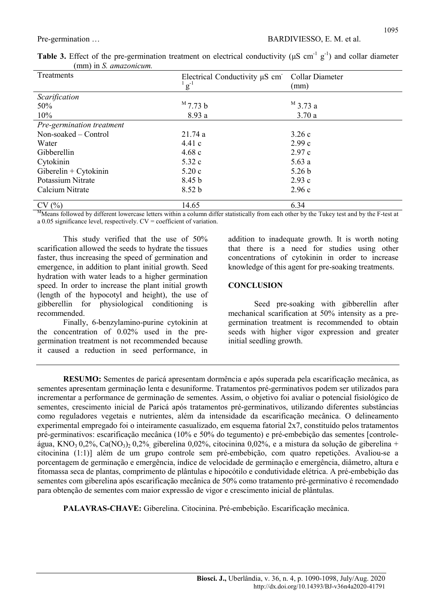| Treatments                | Electrical Conductivity µS cm Collar Diameter<br>$\frac{1}{g}$ $\frac{1}{g}$ | (mm)              |
|---------------------------|------------------------------------------------------------------------------|-------------------|
| Scarification             |                                                                              |                   |
| 50%                       | $^{\rm M}$ 7.73 b                                                            | $^{\rm M}$ 3.73 a |
| 10%                       | 8.93 a                                                                       | 3.70a             |
| Pre-germination treatment |                                                                              |                   |
| Non-soaked – Control      | 21.74a                                                                       | 3.26c             |
| Water                     | 4.41c                                                                        | 2.99c             |
| Gibberellin               | 4.68c                                                                        | 2.97c             |
| Cytokinin                 | 5.32 c                                                                       | 5.63a             |
| Giberelin + Cytokinin     | 5.20c                                                                        | 5.26 <sub>b</sub> |
| Potassium Nitrate         | 8.45 b                                                                       | 2.93c             |
| Calcium Nitrate           | 8.52 <sub>b</sub>                                                            | 2.96c             |
| CV(%)                     | 14.65                                                                        | 6.34              |

Table 3. Effect of the pre-germination treatment on electrical conductivity ( $\mu$ S cm<sup>-1</sup> g<sup>-1</sup>) and collar diameter (mm) in S. amazonicum.

Means followed by different lowercase letters within a column differ statistically from each other by the Tukey test and by the F-test at a 0.05 significance level, respectively. CV = coefficient of variation.

This study verified that the use of 50% scarification allowed the seeds to hydrate the tissues faster, thus increasing the speed of germination and emergence, in addition to plant initial growth. Seed hydration with water leads to a higher germination speed. In order to increase the plant initial growth (length of the hypocotyl and height), the use of gibberellin for physiological conditioning is recommended.

Finally, 6-benzylamino-purine cytokinin at the concentration of 0.02% used in the pregermination treatment is not recommended because it caused a reduction in seed performance, in addition to inadequate growth. It is worth noting that there is a need for studies using other concentrations of cytokinin in order to increase knowledge of this agent for pre-soaking treatments.

#### **CONCLUSION**

Seed pre-soaking with gibberellin after mechanical scarification at 50% intensity as a pregermination treatment is recommended to obtain seeds with higher vigor expression and greater initial seedling growth.

RESUMO: Sementes de paricá apresentam dormência e após superada pela escarificação mecânica, as sementes apresentam germinação lenta e desuniforme. Tratamentos pré-germinativos podem ser utilizados para incrementar a performance de germinação de sementes. Assim, o objetivo foi avaliar o potencial fisiológico de sementes, crescimento inicial de Paricá após tratamentos pré-germinativos, utilizando diferentes substâncias como reguladores vegetais e nutrientes, além da intensidade da escarificação mecânica. O delineamento experimental empregado foi o inteiramente casualizado, em esquema fatorial 2x7, constituído pelos tratamentos pré-germinativos: escarificação mecânica (10% e 50% do tegumento) e pré-embebição das sementes [controleágua, KNO<sub>3</sub> 0,2%, Ca(NO<sub>3</sub>)<sub>2</sub> 0,2% giberelina 0,02%, citocinina 0,02%, e a mistura da solução de giberelina + citocinina (1:1)] além de um grupo controle sem pré-embebição, com quatro repetições. Avaliou-se a porcentagem de germinação e emergência, índice de velocidade de germinação e emergência, diâmetro, altura e fitomassa seca de plantas, comprimento de plântulas e hipocótilo e condutividade elétrica. A pré-embebição das sementes com giberelina após escarificação mecânica de 50% como tratamento pré-germinativo é recomendado para obtenção de sementes com maior expressão de vigor e crescimento inicial de plântulas.

PALAVRAS-CHAVE: Giberelina. Citocinina. Pré-embebição. Escarificação mecânica.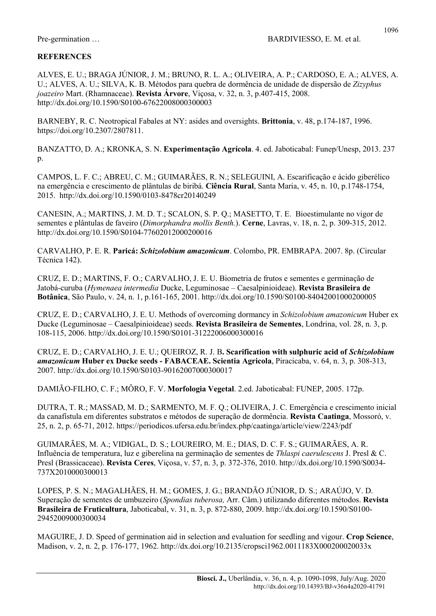## **REFERENCES**

ALVES, E. U.; BRAGA JÚNIOR, J. M.; BRUNO, R. L. A.; OLIVEIRA, A. P.; CARDOSO, E. A.; ALVES, A. U.; ALVES, A. U.; SILVA, K. B. Métodos para quebra de dormência de unidade de dispersão de Zizyphus joazeiro Mart. (Rhamnaceae). Revista Árvore, Viçosa, v. 32, n. 3, p.407-415, 2008. http://dx.doi.org/10.1590/S0100-67622008000300003

BARNEBY, R. C. Neotropical Fabales at NY: asides and oversights. Brittonia, v. 48, p.174-187, 1996. https://doi.org/10.2307/2807811.

BANZATTO, D. A.; KRONKA, S. N. Experimentação Agrícola. 4. ed. Jaboticabal: Funep/Unesp, 2013. 237 p.

CAMPOS, L. F. C.; ABREU, C. M.; GUIMARÃES, R. N.; SELEGUINI, A. Escarificação e ácido giberélico na emergência e crescimento de plântulas de biribá. Ciência Rural, Santa Maria, v. 45, n. 10, p.1748-1754, 2015. http://dx.doi.org/10.1590/0103-8478cr20140249

CANESIN, A.; MARTINS, J. M. D. T.; SCALON, S. P. Q.; MASETTO, T. E. Bioestimulante no vigor de sementes e plântulas de faveiro (*Dimorphandra mollis Benth.*). Cerne, Lavras, v. 18, n. 2, p. 309-315, 2012. http://dx.doi.org/10.1590/S0104-77602012000200016

CARVALHO, P. E. R. Paricá: Schizolobium amazonicum. Colombo, PR. EMBRAPA. 2007. 8p. (Circular Técnica 142).

CRUZ, E. D.; MARTINS, F. O.; CARVALHO, J. E. U. Biometria de frutos e sementes e germinação de Jatobá-curuba (Hymenaea intermedia Ducke, Leguminosae – Caesalpinioideae). Revista Brasileira de Botânica, São Paulo, v. 24, n. 1, p.161-165, 2001. http://dx.doi.org/10.1590/S0100-84042001000200005

CRUZ, E. D.; CARVALHO, J. E. U. Methods of overcoming dormancy in Schizolobium amazonicum Huber ex Ducke (Leguminosae – Caesalpinioideae) seeds. Revista Brasileira de Sementes, Londrina, vol. 28, n. 3, p. 108-115, 2006. http://dx.doi.org/10.1590/S0101-31222006000300016

CRUZ, E. D.; CARVALHO, J. E. U.; QUEIROZ, R. J. B. Scarification with sulphuric acid of Schizolobium amazonicum Huber ex Ducke seeds - FABACEAE. Scientia Agricola, Piracicaba, v. 64, n. 3, p. 308-313, 2007. http://dx.doi.org/10.1590/S0103-90162007000300017

DAMIÃO-FILHO, C. F.; MÔRO, F. V. Morfologia Vegetal. 2.ed. Jaboticabal: FUNEP, 2005. 172p.

DUTRA, T. R.; MASSAD, M. D.; SARMENTO, M. F. Q.; OLIVEIRA, J. C. Emergência e crescimento inicial da canafístula em diferentes substratos e métodos de superação de dormência. Revista Caatinga, Mossoró, v. 25, n. 2, p. 65-71, 2012. https://periodicos.ufersa.edu.br/index.php/caatinga/article/view/2243/pdf

GUIMARÃES, M. A.; VIDIGAL, D. S.; LOUREIRO, M. E.; DIAS, D. C. F. S.; GUIMARÃES, A. R. Influência de temperatura, luz e giberelina na germinação de sementes de Thlaspi caerulescens J. Presl & C. Presl (Brassicaceae). Revista Ceres, Viçosa, v. 57, n. 3, p. 372-376, 2010. http://dx.doi.org/10.1590/S0034- 737X2010000300013

LOPES, P. S. N.; MAGALHÃES, H. M.; GOMES, J. G.; BRANDÃO JÚNIOR, D. S.; ARAÚJO, V. D. Superação de sementes de umbuzeiro (Spondias tuberosa, Arr. Câm.) utilizando diferentes métodos. Revista Brasileira de Fruticultura, Jaboticabal, v. 31, n. 3, p. 872-880, 2009. http://dx.doi.org/10.1590/S0100-29452009000300034

MAGUIRE, J. D. Speed of germination aid in selection and evaluation for seedling and vigour. Crop Science, Madison, v. 2, n. 2, p. 176-177, 1962. http://dx.doi.org/10.2135/cropsci1962.0011183X000200020033x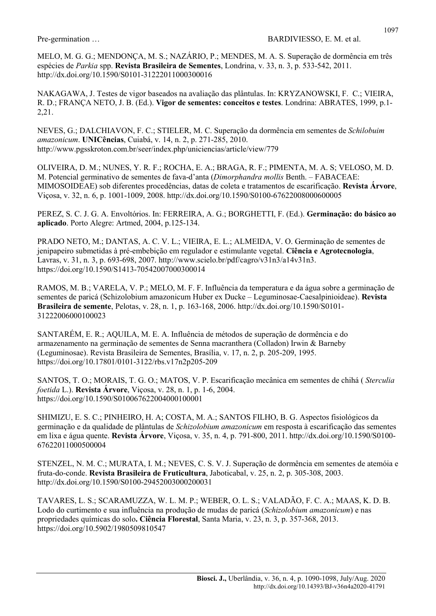MELO, M. G. G.; MENDONÇA, M. S.; NAZÁRIO, P.; MENDES, M. A. S. Superação de dormência em três espécies de Parkia spp. Revista Brasileira de Sementes, Londrina, v. 33, n. 3, p. 533-542, 2011. http://dx.doi.org/10.1590/S0101-31222011000300016

NAKAGAWA, J. Testes de vigor baseados na avaliação das plântulas. In: KRYZANOWSKI, F. C.; VIEIRA, R. D.; FRANÇA NETO, J. B. (Ed.). Vigor de sementes: conceitos e testes. Londrina: ABRATES, 1999, p.1- 2,21.

NEVES, G.; DALCHIAVON, F. C.; STIELER, M. C. Superação da dormência em sementes de Schilobuim amazonicum. UNICências, Cuiabá, v. 14, n. 2, p. 271-285, 2010. http://www.pgsskroton.com.br/seer/index.php/uniciencias/article/view/779

OLIVEIRA, D. M.; NUNES, Y. R. F.; ROCHA, E. A.; BRAGA, R. F.; PIMENTA, M. A. S; VELOSO, M. D. M. Potencial germinativo de sementes de fava-d'anta (Dimorphandra mollis Benth. – FABACEAE: MIMOSOIDEAE) sob diferentes procedências, datas de coleta e tratamentos de escarificação. Revista Árvore, Viçosa, v. 32, n. 6, p. 1001-1009, 2008. http://dx.doi.org/10.1590/S0100-67622008000600005

PEREZ, S. C. J. G. A. Envoltórios. In: FERREIRA, A. G.; BORGHETTI, F. (Ed.). Germinação: do básico ao aplicado. Porto Alegre: Artmed, 2004, p.125-134.

PRADO NETO, M.; DANTAS, A. C. V. L.; VIEIRA, E. L.; ALMEIDA, V. O. Germinação de sementes de jenipapeiro submetidas à pré-embebição em regulador e estimulante vegetal. Ciência e Agrotecnologia, Lavras, v. 31, n. 3, p. 693-698, 2007. http://www.scielo.br/pdf/cagro/v31n3/a14v31n3. https://doi.org/10.1590/S1413-70542007000300014

RAMOS, M. B.; VARELA, V. P.; MELO, M. F. F. Influência da temperatura e da água sobre a germinação de sementes de paricá (Schizolobium amazonicum Huber ex Ducke – Leguminosae-Caesalpinioideae). Revista Brasileira de semente, Pelotas, v. 28, n. 1, p. 163-168, 2006. http://dx.doi.org/10.1590/S0101- 31222006000100023

SANTARÉM, E. R.; AQUILA, M. E. A. Influência de métodos de superação de dormência e do armazenamento na germinação de sementes de Senna macranthera (Colladon) Irwin & Barneby (Leguminosae). Revista Brasileira de Sementes, Brasília, v. 17, n. 2, p. 205-209, 1995. https://doi.org/10.17801/0101-3122/rbs.v17n2p205-209

SANTOS, T. O.; MORAIS, T. G. O.; MATOS, V. P. Escarificação mecânica em sementes de chihá ( Sterculia foetida L.). Revista Árvore, Viçosa, v. 28, n. 1, p. 1-6, 2004. https://doi.org/10.1590/S010067622004000100001

SHIMIZU, E. S. C.; PINHEIRO, H. A; COSTA, M. A.; SANTOS FILHO, B. G. Aspectos fisiológicos da germinação e da qualidade de plântulas de Schizolobium amazonicum em resposta à escarificação das sementes em lixa e água quente. Revista Árvore, Viçosa, v. 35, n. 4, p. 791-800, 2011. http://dx.doi.org/10.1590/S0100- 67622011000500004

STENZEL, N. M. C.; MURATA, I. M.; NEVES, C. S. V. J. Superação de dormência em sementes de atemóia e fruta-do-conde. Revista Brasileira de Fruticultura, Jaboticabal, v. 25, n. 2, p. 305-308, 2003. http://dx.doi.org/10.1590/S0100-29452003000200031

TAVARES, L. S.; SCARAMUZZA, W. L. M. P.; WEBER, O. L. S.; VALADÃO, F. C. A.; MAAS, K. D. B. Lodo do curtimento e sua influência na produção de mudas de paricá (Schizolobium amazonicum) e nas propriedades químicas do solo. Ciência Florestal, Santa Maria, v. 23, n. 3, p. 357-368, 2013. https://doi.org/10.5902/1980509810547